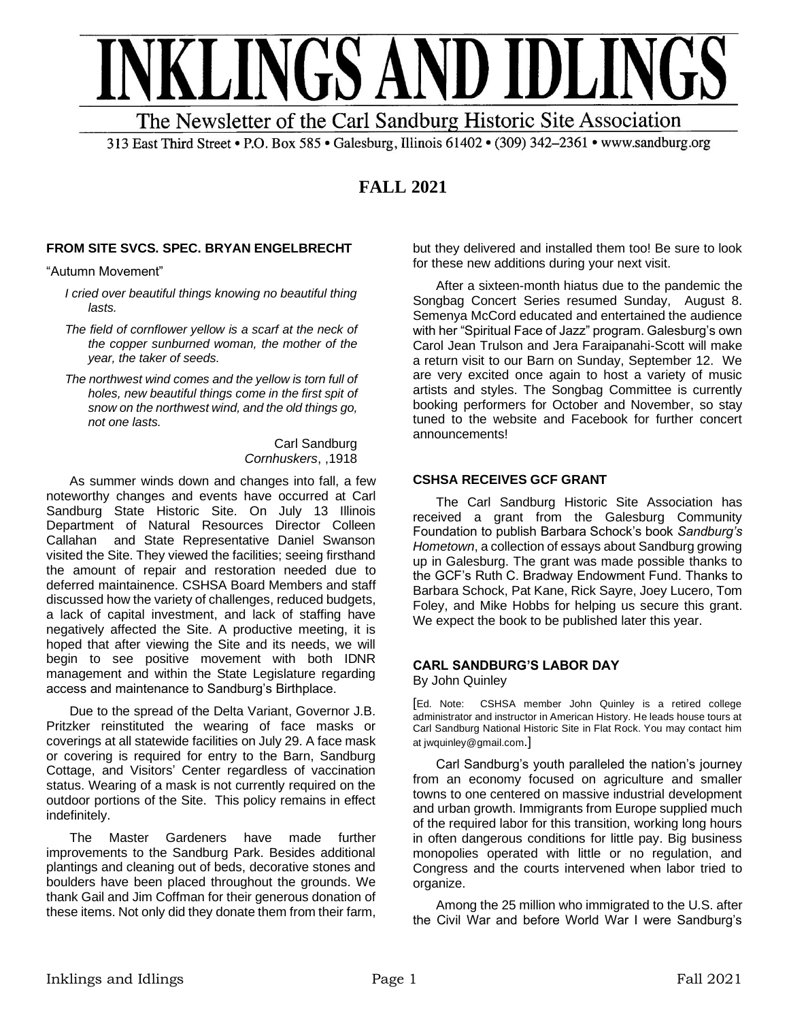

313 East Third Street • P.O. Box 585 • Galesburg, Illinois 61402 • (309) 342-2361 • www.sandburg.org

# **FALL 2021**

## **FROM SITE SVCS. SPEC. BRYAN ENGELBRECHT**

"Autumn Movement"

*I cried over beautiful things knowing no beautiful thing lasts.*

- *The field of cornflower yellow is a scarf at the neck of the copper sunburned woman, the mother of the year, the taker of seeds.*
- *The northwest wind comes and the yellow is torn full of holes, new beautiful things come in the first spit of snow on the northwest wind, and the old things go, not one lasts.*

Carl Sandburg *Cornhuskers*, ,1918

As summer winds down and changes into fall, a few noteworthy changes and events have occurred at Carl Sandburg State Historic Site. On July 13 Illinois Department of Natural Resources Director Colleen Callahan and State Representative Daniel Swanson visited the Site. They viewed the facilities; seeing firsthand the amount of repair and restoration needed due to deferred maintainence. CSHSA Board Members and staff discussed how the variety of challenges, reduced budgets, a lack of capital investment, and lack of staffing have negatively affected the Site. A productive meeting, it is hoped that after viewing the Site and its needs, we will begin to see positive movement with both IDNR management and within the State Legislature regarding access and maintenance to Sandburg's Birthplace.

Due to the spread of the Delta Variant, Governor J.B. Pritzker reinstituted the wearing of face masks or coverings at all statewide facilities on July 29. A face mask or covering is required for entry to the Barn, Sandburg Cottage, and Visitors' Center regardless of vaccination status. Wearing of a mask is not currently required on the outdoor portions of the Site. This policy remains in effect indefinitely.

The Master Gardeners have made further improvements to the Sandburg Park. Besides additional plantings and cleaning out of beds, decorative stones and boulders have been placed throughout the grounds. We thank Gail and Jim Coffman for their generous donation of these items. Not only did they donate them from their farm, but they delivered and installed them too! Be sure to look for these new additions during your next visit.

After a sixteen-month hiatus due to the pandemic the Songbag Concert Series resumed Sunday, August 8. Semenya McCord educated and entertained the audience with her "Spiritual Face of Jazz" program. Galesburg's own Carol Jean Trulson and Jera Faraipanahi-Scott will make a return visit to our Barn on Sunday, September 12. We are very excited once again to host a variety of music artists and styles. The Songbag Committee is currently booking performers for October and November, so stay tuned to the website and Facebook for further concert announcements!

### **CSHSA RECEIVES GCF GRANT**

The Carl Sandburg Historic Site Association has received a grant from the Galesburg Community Foundation to publish Barbara Schock's book *Sandburg's Hometown*, a collection of essays about Sandburg growing up in Galesburg. The grant was made possible thanks to the GCF's Ruth C. Bradway Endowment Fund. Thanks to Barbara Schock, Pat Kane, Rick Sayre, Joey Lucero, Tom Foley, and Mike Hobbs for helping us secure this grant. We expect the book to be published later this year.

## **CARL SANDBURG'S LABOR DAY**

By John Quinley

[Ed. Note: CSHSA member John Quinley is a retired college administrator and instructor in American History. He leads house tours at Carl Sandburg National Historic Site in Flat Rock. You may contact him at jwquinley@gmail.com.]

 Carl Sandburg's youth paralleled the nation's journey from an economy focused on agriculture and smaller towns to one centered on massive industrial development and urban growth. Immigrants from Europe supplied much of the required labor for this transition, working long hours in often dangerous conditions for little pay. Big business monopolies operated with little or no regulation, and Congress and the courts intervened when labor tried to organize.

Among the 25 million who immigrated to the U.S. after the Civil War and before World War I were Sandburg's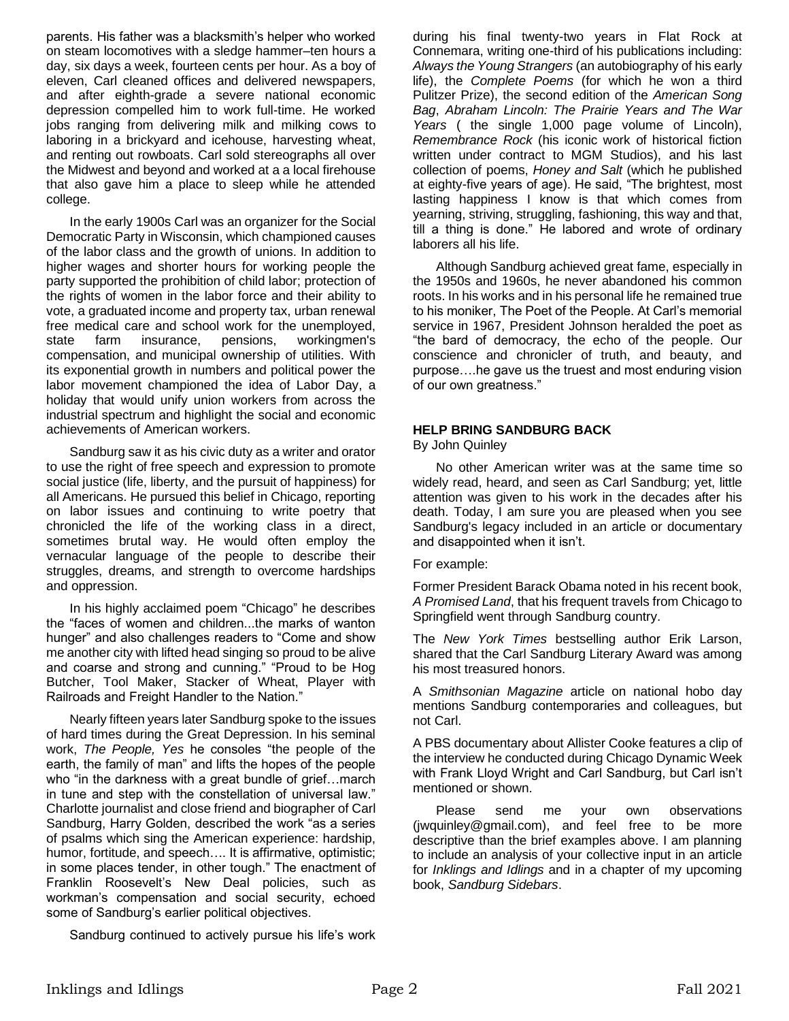parents. His father was a blacksmith's helper who worked on steam locomotives with a sledge hammer–ten hours a day, six days a week, fourteen cents per hour. As a boy of eleven, Carl cleaned offices and delivered newspapers, and after eighth-grade a severe national economic depression compelled him to work full-time. He worked jobs ranging from delivering milk and milking cows to laboring in a brickyard and icehouse, harvesting wheat, and renting out rowboats. Carl sold stereographs all over the Midwest and beyond and worked at a a local firehouse that also gave him a place to sleep while he attended college.

In the early 1900s Carl was an organizer for the Social Democratic Party in Wisconsin, which championed causes of the labor class and the growth of unions. In addition to higher wages and shorter hours for working people the party supported the prohibition of child labor; protection of the rights of women in the labor force and their ability to vote, a graduated income and property tax, urban renewal free medical care and school work for the unemployed, state farm insurance, pensions, workingmen's compensation, and municipal ownership of utilities. With its exponential growth in numbers and political power the labor movement championed the idea of Labor Day, a holiday that would unify union workers from across the industrial spectrum and highlight the social and economic achievements of American workers.

Sandburg saw it as his civic duty as a writer and orator to use the right of free speech and expression to promote social justice (life, liberty, and the pursuit of happiness) for all Americans. He pursued this belief in Chicago, reporting on labor issues and continuing to write poetry that chronicled the life of the working class in a direct, sometimes brutal way. He would often employ the vernacular language of the people to describe their struggles, dreams, and strength to overcome hardships and oppression.

In his highly acclaimed poem "Chicago" he describes the "faces of women and children...the marks of wanton hunger" and also challenges readers to "Come and show me another city with lifted head singing so proud to be alive and coarse and strong and cunning." "Proud to be Hog Butcher, Tool Maker, Stacker of Wheat, Player with Railroads and Freight Handler to the Nation."

Nearly fifteen years later Sandburg spoke to the issues of hard times during the Great Depression. In his seminal work, *The People, Yes* he consoles "the people of the earth, the family of man" and lifts the hopes of the people who "in the darkness with a great bundle of grief…march in tune and step with the constellation of universal law." Charlotte journalist and close friend and biographer of Carl Sandburg, Harry Golden, described the work "as a series of psalms which sing the American experience: hardship, humor, fortitude, and speech.... It is affirmative, optimistic; in some places tender, in other tough." The enactment of Franklin Roosevelt's New Deal policies, such as workman's compensation and social security, echoed some of Sandburg's earlier political objectives.

Sandburg continued to actively pursue his life's work

during his final twenty-two years in Flat Rock at Connemara, writing one-third of his publications including: *Always the Young Strangers* (an autobiography of his early life), the *Complete Poems* (for which he won a third Pulitzer Prize), the second edition of the *American Song Bag*, *Abraham Lincoln: The Prairie Years and The War Years* ( the single 1,000 page volume of Lincoln), *Remembrance Rock* (his iconic work of historical fiction written under contract to MGM Studios), and his last collection of poems, *Honey and Salt* (which he published at eighty-five years of age). He said, "The brightest, most lasting happiness I know is that which comes from yearning, striving, struggling, fashioning, this way and that, till a thing is done." He labored and wrote of ordinary laborers all his life.

Although Sandburg achieved great fame, especially in the 1950s and 1960s, he never abandoned his common roots. In his works and in his personal life he remained true to his moniker, The Poet of the People. At Carl's memorial service in 1967, President Johnson heralded the poet as "the bard of democracy, the echo of the people. Our conscience and chronicler of truth, and beauty, and purpose….he gave us the truest and most enduring vision of our own greatness."

#### **HELP BRING SANDBURG BACK**

By John Quinley

No other American writer was at the same time so widely read, heard, and seen as Carl Sandburg; yet, little attention was given to his work in the decades after his death. Today, I am sure you are pleased when you see Sandburg's legacy included in an article or documentary and disappointed when it isn't.

For example:

Former President Barack Obama noted in his recent book, *A Promised Land*, that his frequent travels from Chicago to Springfield went through Sandburg country.

The *New York Times* bestselling author Erik Larson, shared that the Carl Sandburg Literary Award was among his most treasured honors.

A *Smithsonian Magazine* article on national hobo day mentions Sandburg contemporaries and colleagues, but not Carl.

A PBS documentary about Allister Cooke features a clip of the interview he conducted during Chicago Dynamic Week with Frank Lloyd Wright and Carl Sandburg, but Carl isn't mentioned or shown.

Please send me your own observations (jwquinley@gmail.com), and feel free to be more descriptive than the brief examples above. I am planning to include an analysis of your collective input in an article for *Inklings and Idlings* and in a chapter of my upcoming book, *Sandburg Sidebars*.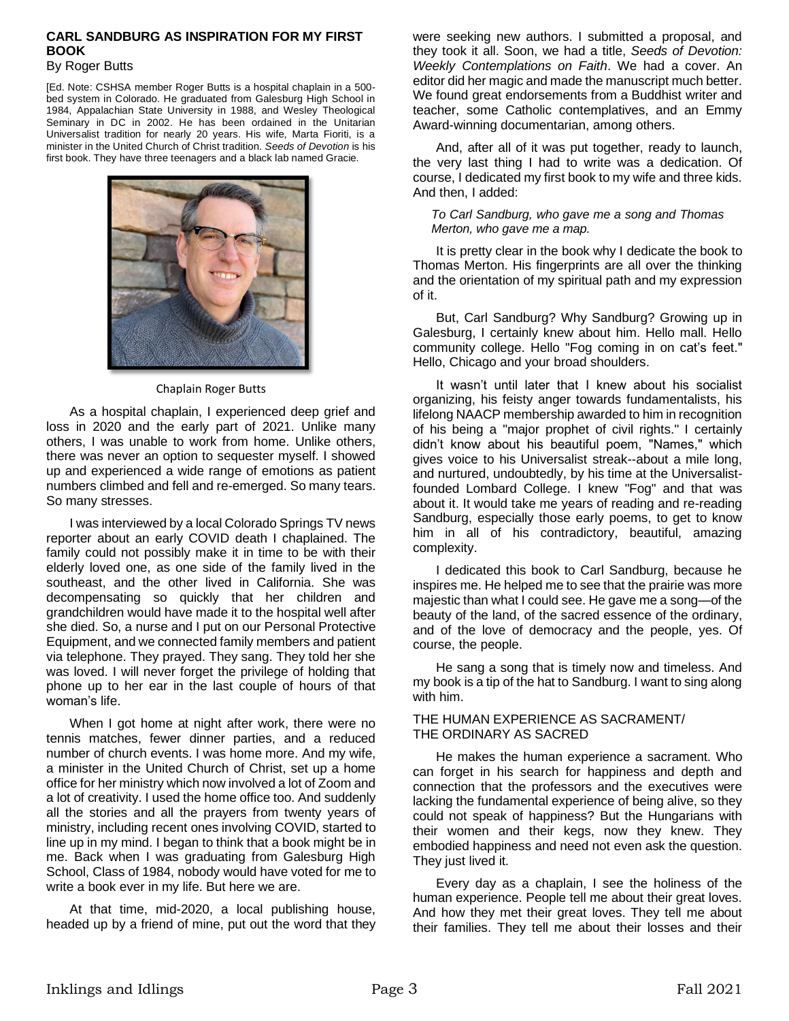#### **CARL SANDBURG AS INSPIRATION FOR MY FIRST BOOK**

#### By Roger Butts

[Ed. Note: CSHSA member Roger Butts is a hospital chaplain in a 500 bed system in Colorado. He graduated from Galesburg High School in 1984, Appalachian State University in 1988, and Wesley Theological Seminary in DC in 2002. He has been ordained in the Unitarian Universalist tradition for nearly 20 years. His wife, Marta Fioriti, is a minister in the United Church of Christ tradition. *Seeds of Devotion* is his first book. They have three teenagers and a black lab named Gracie.



#### Chaplain Roger Butts

As a hospital chaplain, I experienced deep grief and loss in 2020 and the early part of 2021. Unlike many others, I was unable to work from home. Unlike others, there was never an option to sequester myself. I showed up and experienced a wide range of emotions as patient numbers climbed and fell and re-emerged. So many tears. So many stresses.

I was interviewed by a local Colorado Springs TV news reporter about an early COVID death I chaplained. The family could not possibly make it in time to be with their elderly loved one, as one side of the family lived in the southeast, and the other lived in California. She was decompensating so quickly that her children and grandchildren would have made it to the hospital well after she died. So, a nurse and I put on our Personal Protective Equipment, and we connected family members and patient via telephone. They prayed. They sang. They told her she was loved. I will never forget the privilege of holding that phone up to her ear in the last couple of hours of that woman's life.

When I got home at night after work, there were no tennis matches, fewer dinner parties, and a reduced number of church events. I was home more. And my wife, a minister in the United Church of Christ, set up a home office for her ministry which now involved a lot of Zoom and a lot of creativity. I used the home office too. And suddenly all the stories and all the prayers from twenty years of ministry, including recent ones involving COVID, started to line up in my mind. I began to think that a book might be in me. Back when I was graduating from Galesburg High School, Class of 1984, nobody would have voted for me to write a book ever in my life. But here we are.

At that time, mid-2020, a local publishing house, headed up by a friend of mine, put out the word that they

were seeking new authors. I submitted a proposal, and they took it all. Soon, we had a title, *Seeds of Devotion: Weekly Contemplations on Faith*. We had a cover. An editor did her magic and made the manuscript much better. We found great endorsements from a Buddhist writer and teacher, some Catholic contemplatives, and an Emmy Award-winning documentarian, among others.

And, after all of it was put together, ready to launch, the very last thing I had to write was a dedication. Of course, I dedicated my first book to my wife and three kids. And then, I added:

*To Carl Sandburg, who gave me a song and Thomas Merton, who gave me a map.*

It is pretty clear in the book why I dedicate the book to Thomas Merton. His fingerprints are all over the thinking and the orientation of my spiritual path and my expression of it.

But, Carl Sandburg? Why Sandburg? Growing up in Galesburg, I certainly knew about him. Hello mall. Hello community college. Hello "Fog coming in on cat's feet." Hello, Chicago and your broad shoulders.

It wasn't until later that I knew about his socialist organizing, his feisty anger towards fundamentalists, his lifelong NAACP membership awarded to him in recognition of his being a "major prophet of civil rights." I certainly didn't know about his beautiful poem, "Names," which gives voice to his Universalist streak--about a mile long, and nurtured, undoubtedly, by his time at the Universalistfounded Lombard College. I knew "Fog" and that was about it. It would take me years of reading and re-reading Sandburg, especially those early poems, to get to know him in all of his contradictory, beautiful, amazing complexity.

I dedicated this book to Carl Sandburg, because he inspires me. He helped me to see that the prairie was more majestic than what I could see. He gave me a song—of the beauty of the land, of the sacred essence of the ordinary, and of the love of democracy and the people, yes. Of course, the people.

He sang a song that is timely now and timeless. And my book is a tip of the hat to Sandburg. I want to sing along with him.

#### THE HUMAN EXPERIENCE AS SACRAMENT/ THE ORDINARY AS SACRED

He makes the human experience a sacrament. Who can forget in his search for happiness and depth and connection that the professors and the executives were lacking the fundamental experience of being alive, so they could not speak of happiness? But the Hungarians with their women and their kegs, now they knew. They embodied happiness and need not even ask the question. They just lived it.

Every day as a chaplain, I see the holiness of the human experience. People tell me about their great loves. And how they met their great loves. They tell me about their families. They tell me about their losses and their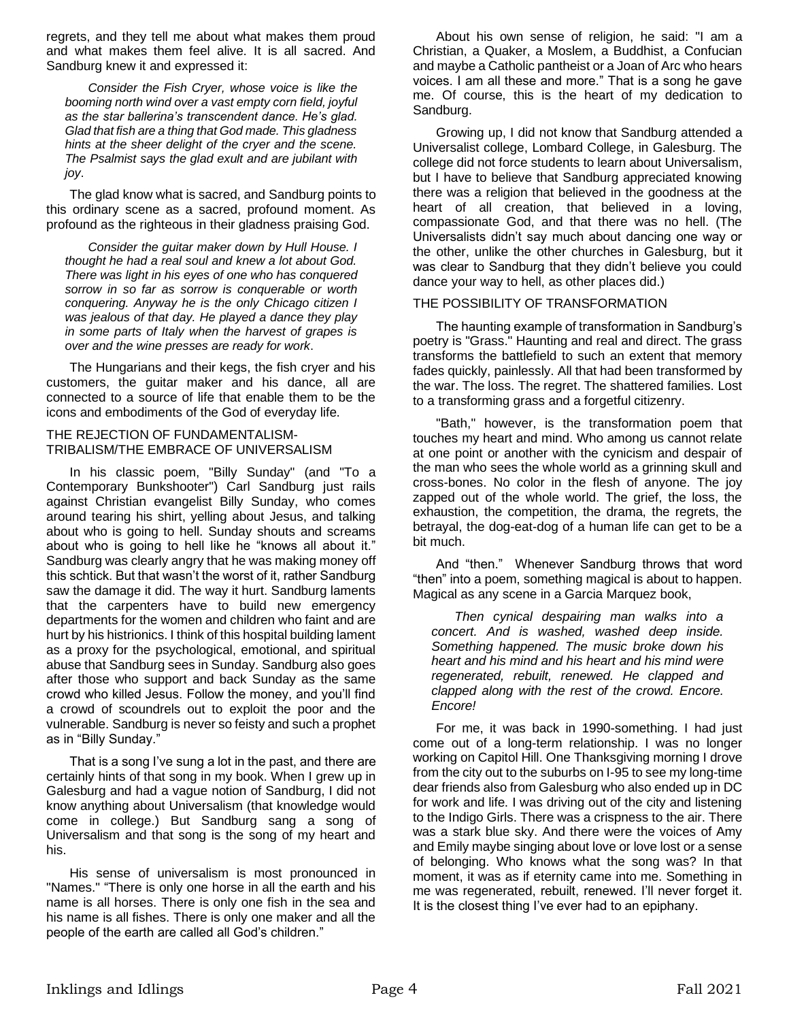regrets, and they tell me about what makes them proud and what makes them feel alive. It is all sacred. And Sandburg knew it and expressed it:

*Consider the Fish Cryer, whose voice is like the booming north wind over a vast empty corn field, joyful as the star ballerina's transcendent dance. He's glad. Glad that fish are a thing that God made. This gladness hints at the sheer delight of the cryer and the scene. The Psalmist says the glad exult and are jubilant with joy*.

The glad know what is sacred, and Sandburg points to this ordinary scene as a sacred, profound moment. As profound as the righteous in their gladness praising God.

*Consider the guitar maker down by Hull House. I thought he had a real soul and knew a lot about God. There was light in his eyes of one who has conquered sorrow in so far as sorrow is conquerable or worth conquering. Anyway he is the only Chicago citizen I was jealous of that day. He played a dance they play in some parts of Italy when the harvest of grapes is over and the wine presses are ready for work*.

The Hungarians and their kegs, the fish cryer and his customers, the guitar maker and his dance, all are connected to a source of life that enable them to be the icons and embodiments of the God of everyday life.

#### THE REJECTION OF FUNDAMENTALISM-TRIBALISM/THE EMBRACE OF UNIVERSALISM

In his classic poem, "Billy Sunday" (and "To a Contemporary Bunkshooter") Carl Sandburg just rails against Christian evangelist Billy Sunday, who comes around tearing his shirt, yelling about Jesus, and talking about who is going to hell. Sunday shouts and screams about who is going to hell like he "knows all about it." Sandburg was clearly angry that he was making money off this schtick. But that wasn't the worst of it, rather Sandburg saw the damage it did. The way it hurt. Sandburg laments that the carpenters have to build new emergency departments for the women and children who faint and are hurt by his histrionics. I think of this hospital building lament as a proxy for the psychological, emotional, and spiritual abuse that Sandburg sees in Sunday. Sandburg also goes after those who support and back Sunday as the same crowd who killed Jesus. Follow the money, and you'll find a crowd of scoundrels out to exploit the poor and the vulnerable. Sandburg is never so feisty and such a prophet as in "Billy Sunday."

That is a song I've sung a lot in the past, and there are certainly hints of that song in my book. When I grew up in Galesburg and had a vague notion of Sandburg, I did not know anything about Universalism (that knowledge would come in college.) But Sandburg sang a song of Universalism and that song is the song of my heart and his.

His sense of universalism is most pronounced in "Names." "There is only one horse in all the earth and his name is all horses. There is only one fish in the sea and his name is all fishes. There is only one maker and all the people of the earth are called all God's children."

About his own sense of religion, he said: "I am a Christian, a Quaker, a Moslem, a Buddhist, a Confucian and maybe a Catholic pantheist or a Joan of Arc who hears voices. I am all these and more." That is a song he gave me. Of course, this is the heart of my dedication to Sandburg.

Growing up, I did not know that Sandburg attended a Universalist college, Lombard College, in Galesburg. The college did not force students to learn about Universalism, but I have to believe that Sandburg appreciated knowing there was a religion that believed in the goodness at the heart of all creation, that believed in a loving, compassionate God, and that there was no hell. (The Universalists didn't say much about dancing one way or the other, unlike the other churches in Galesburg, but it was clear to Sandburg that they didn't believe you could dance your way to hell, as other places did.)

#### THE POSSIBILITY OF TRANSFORMATION

The haunting example of transformation in Sandburg's poetry is "Grass." Haunting and real and direct. The grass transforms the battlefield to such an extent that memory fades quickly, painlessly. All that had been transformed by the war. The loss. The regret. The shattered families. Lost to a transforming grass and a forgetful citizenry.

"Bath," however, is the transformation poem that touches my heart and mind. Who among us cannot relate at one point or another with the cynicism and despair of the man who sees the whole world as a grinning skull and cross-bones. No color in the flesh of anyone. The joy zapped out of the whole world. The grief, the loss, the exhaustion, the competition, the drama, the regrets, the betrayal, the dog-eat-dog of a human life can get to be a bit much.

And "then." Whenever Sandburg throws that word "then" into a poem, something magical is about to happen. Magical as any scene in a Garcia Marquez book,

*Then cynical despairing man walks into a concert. And is washed, washed deep inside. Something happened. The music broke down his heart and his mind and his heart and his mind were regenerated, rebuilt, renewed. He clapped and clapped along with the rest of the crowd. Encore. Encore!*

For me, it was back in 1990-something. I had just come out of a long-term relationship. I was no longer working on Capitol Hill. One Thanksgiving morning I drove from the city out to the suburbs on I-95 to see my long-time dear friends also from Galesburg who also ended up in DC for work and life. I was driving out of the city and listening to the Indigo Girls. There was a crispness to the air. There was a stark blue sky. And there were the voices of Amy and Emily maybe singing about love or love lost or a sense of belonging. Who knows what the song was? In that moment, it was as if eternity came into me. Something in me was regenerated, rebuilt, renewed. I'll never forget it. It is the closest thing I've ever had to an epiphany.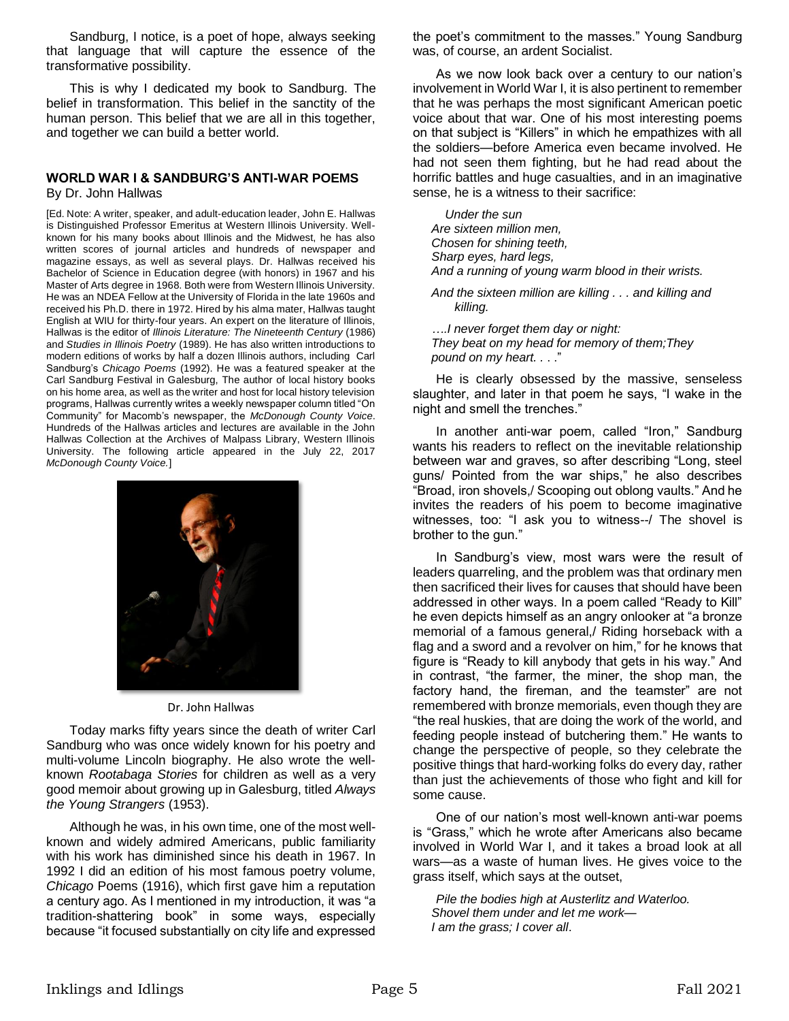Sandburg, I notice, is a poet of hope, always seeking that language that will capture the essence of the transformative possibility.

This is why I dedicated my book to Sandburg. The belief in transformation. This belief in the sanctity of the human person. This belief that we are all in this together, and together we can build a better world.

#### **WORLD WAR I & SANDBURG'S ANTI-WAR POEMS** By Dr. John Hallwas

[Ed. Note: A writer, speaker, and adult-education leader, John E. Hallwas is Distinguished Professor Emeritus at Western Illinois University. Wellknown for his many books about Illinois and the Midwest, he has also written scores of journal articles and hundreds of newspaper and magazine essays, as well as several plays. Dr. Hallwas received his Bachelor of Science in Education degree (with honors) in 1967 and his Master of Arts degree in 1968. Both were from Western Illinois University. He was an NDEA Fellow at the University of Florida in the late 1960s and received his Ph.D. there in 1972. Hired by his alma mater, Hallwas taught English at WIU for thirty-four years. An expert on the literature of Illinois, Hallwas is the editor of *Illinois Literature: The Nineteenth Century* (1986) and *Studies in Illinois Poetry* (1989). He has also written introductions to modern editions of works by half a dozen Illinois authors, including Carl Sandburg's *Chicago Poems* (1992). He was a featured speaker at the Carl Sandburg Festival in Galesburg, The author of local history books on his home area, as well as the writer and host for local history television programs, Hallwas currently writes a weekly newspaper column titled "On Community" for Macomb's newspaper, the *McDonough County Voice*. Hundreds of the Hallwas articles and lectures are available in the John Hallwas Collection at the Archives of Malpass Library, Western Illinois University. The following article appeared in the July 22, 2017 *McDonough County Voice.*]



Dr. John Hallwas

Today marks fifty years since the death of writer Carl Sandburg who was once widely known for his poetry and multi-volume Lincoln biography. He also wrote the wellknown *Rootabaga Stories* for children as well as a very good memoir about growing up in Galesburg, titled *Always the Young Strangers* (1953).

Although he was, in his own time, one of the most wellknown and widely admired Americans, public familiarity with his work has diminished since his death in 1967. In 1992 I did an edition of his most famous poetry volume, *Chicago* Poems (1916), which first gave him a reputation a century ago. As I mentioned in my introduction, it was "a tradition-shattering book" in some ways, especially because "it focused substantially on city life and expressed the poet's commitment to the masses." Young Sandburg was, of course, an ardent Socialist.

As we now look back over a century to our nation's involvement in World War I, it is also pertinent to remember that he was perhaps the most significant American poetic voice about that war. One of his most interesting poems on that subject is "Killers" in which he empathizes with all the soldiers—before America even became involved. He had not seen them fighting, but he had read about the horrific battles and huge casualties, and in an imaginative sense, he is a witness to their sacrifice:

 *Under the sun Are sixteen million men, Chosen for shining teeth, Sharp eyes, hard legs, And a running of young warm blood in their wrists.*

*And the sixteen million are killing . . . and killing and killing.*

*….I never forget them day or night: They beat on my head for memory of them;They pound on my heart. .* . ."

He is clearly obsessed by the massive, senseless slaughter, and later in that poem he says, "I wake in the night and smell the trenches."

In another anti-war poem, called "Iron," Sandburg wants his readers to reflect on the inevitable relationship between war and graves, so after describing "Long, steel guns/ Pointed from the war ships," he also describes "Broad, iron shovels,/ Scooping out oblong vaults." And he invites the readers of his poem to become imaginative witnesses, too: "I ask you to witness--/ The shovel is brother to the gun."

In Sandburg's view, most wars were the result of leaders quarreling, and the problem was that ordinary men then sacrificed their lives for causes that should have been addressed in other ways. In a poem called "Ready to Kill" he even depicts himself as an angry onlooker at "a bronze memorial of a famous general,/ Riding horseback with a flag and a sword and a revolver on him," for he knows that figure is "Ready to kill anybody that gets in his way." And in contrast, "the farmer, the miner, the shop man, the factory hand, the fireman, and the teamster" are not remembered with bronze memorials, even though they are "the real huskies, that are doing the work of the world, and feeding people instead of butchering them." He wants to change the perspective of people, so they celebrate the positive things that hard-working folks do every day, rather than just the achievements of those who fight and kill for some cause.

One of our nation's most well-known anti-war poems is "Grass," which he wrote after Americans also became involved in World War I, and it takes a broad look at all wars—as a waste of human lives. He gives voice to the grass itself, which says at the outset,

*Pile the bodies high at Austerlitz and Waterloo. Shovel them under and let me work— I am the grass; I cover all*.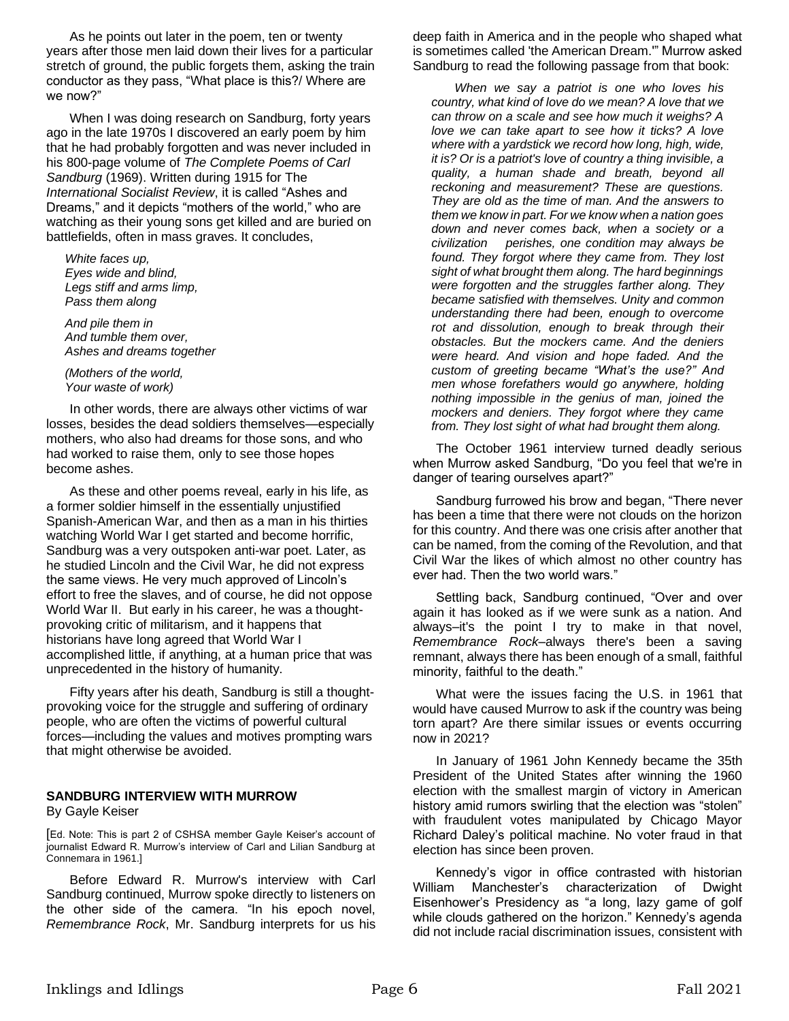As he points out later in the poem, ten or twenty years after those men laid down their lives for a particular stretch of ground, the public forgets them, asking the train conductor as they pass, "What place is this?/ Where are we now?"

When I was doing research on Sandburg, forty years ago in the late 1970s I discovered an early poem by him that he had probably forgotten and was never included in his 800-page volume of *The Complete Poems of Carl Sandburg* (1969). Written during 1915 for The *International Socialist Review*, it is called "Ashes and Dreams," and it depicts "mothers of the world," who are watching as their young sons get killed and are buried on battlefields, often in mass graves. It concludes,

*White faces up, Eyes wide and blind, Legs stiff and arms limp, Pass them along*

*And pile them in And tumble them over, Ashes and dreams together*

*(Mothers of the world, Your waste of work)*

In other words, there are always other victims of war losses, besides the dead soldiers themselves—especially mothers, who also had dreams for those sons, and who had worked to raise them, only to see those hopes become ashes.

As these and other poems reveal, early in his life, as a former soldier himself in the essentially unjustified Spanish-American War, and then as a man in his thirties watching World War I get started and become horrific, Sandburg was a very outspoken anti-war poet. Later, as he studied Lincoln and the Civil War, he did not express the same views. He very much approved of Lincoln's effort to free the slaves, and of course, he did not oppose World War II. But early in his career, he was a thoughtprovoking critic of militarism, and it happens that historians have long agreed that World War I accomplished little, if anything, at a human price that was unprecedented in the history of humanity.

Fifty years after his death, Sandburg is still a thoughtprovoking voice for the struggle and suffering of ordinary people, who are often the victims of powerful cultural forces—including the values and motives prompting wars that might otherwise be avoided.

#### **SANDBURG INTERVIEW WITH MURROW**  By Gayle Keiser

[Ed. Note: This is part 2 of CSHSA member Gayle Keiser's account of journalist Edward R. Murrow's interview of Carl and Lilian Sandburg at Connemara in 1961.]

Before Edward R. Murrow's interview with Carl Sandburg continued, Murrow spoke directly to listeners on the other side of the camera. "In his epoch novel, *Remembrance Rock*, Mr. Sandburg interprets for us his

deep faith in America and in the people who shaped what is sometimes called 'the American Dream.'" Murrow asked Sandburg to read the following passage from that book:

*When we say a patriot is one who loves his country, what kind of love do we mean? A love that we can throw on a scale and see how much it weighs? A love we can take apart to see how it ticks? A love where with a yardstick we record how long, high, wide, it is? Or is a patriot's love of country a thing invisible, a quality, a human shade and breath, beyond all reckoning and measurement? These are questions. They are old as the time of man. And the answers to them we know in part. For we know when a nation goes down and never comes back, when a society or a civilization perishes, one condition may always be found. They forgot where they came from. They lost sight of what brought them along. The hard beginnings were forgotten and the struggles farther along. They became satisfied with themselves. Unity and common understanding there had been, enough to overcome rot and dissolution, enough to break through their obstacles. But the mockers came. And the deniers were heard. And vision and hope faded. And the custom of greeting became "What's the use?" And men whose forefathers would go anywhere, holding nothing impossible in the genius of man, joined the mockers and deniers. They forgot where they came from. They lost sight of what had brought them along.*

The October 1961 interview turned deadly serious when Murrow asked Sandburg, "Do you feel that we're in danger of tearing ourselves apart?"

Sandburg furrowed his brow and began, "There never has been a time that there were not clouds on the horizon for this country. And there was one crisis after another that can be named, from the coming of the Revolution, and that Civil War the likes of which almost no other country has ever had. Then the two world wars."

Settling back, Sandburg continued, "Over and over again it has looked as if we were sunk as a nation. And always–it's the point I try to make in that novel, *Remembrance Rock*–always there's been a saving remnant, always there has been enough of a small, faithful minority, faithful to the death."

What were the issues facing the U.S. in 1961 that would have caused Murrow to ask if the country was being torn apart? Are there similar issues or events occurring now in 2021?

In January of 1961 John Kennedy became the 35th President of the United States after winning the 1960 election with the smallest margin of victory in American history amid rumors swirling that the election was "stolen" with fraudulent votes manipulated by Chicago Mayor Richard Daley's political machine. No voter fraud in that election has since been proven.

Kennedy's vigor in office contrasted with historian William Manchester's characterization of Dwight Eisenhower's Presidency as "a long, lazy game of golf while clouds gathered on the horizon." Kennedy's agenda did not include racial discrimination issues, consistent with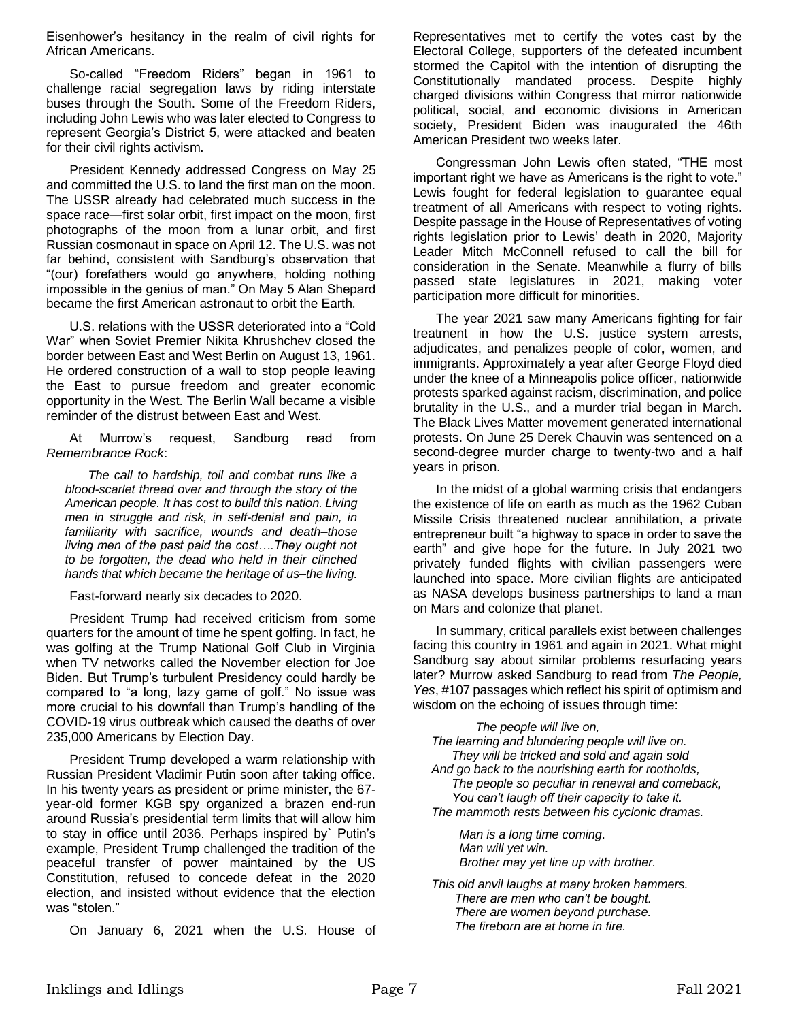Eisenhower's hesitancy in the realm of civil rights for African Americans.

So-called "Freedom Riders" began in 1961 to challenge racial segregation laws by riding interstate buses through the South. Some of the Freedom Riders, including John Lewis who was later elected to Congress to represent Georgia's District 5, were attacked and beaten for their civil rights activism.

President Kennedy addressed Congress on May 25 and committed the U.S. to land the first man on the moon. The USSR already had celebrated much success in the space race—first solar orbit, first impact on the moon, first photographs of the moon from a lunar orbit, and first Russian cosmonaut in space on April 12. The U.S. was not far behind, consistent with Sandburg's observation that "(our) forefathers would go anywhere, holding nothing impossible in the genius of man." On May 5 Alan Shepard became the first American astronaut to orbit the Earth.

U.S. relations with the USSR deteriorated into a "Cold War" when Soviet Premier Nikita Khrushchev closed the border between East and West Berlin on August 13, 1961. He ordered construction of a wall to stop people leaving the East to pursue freedom and greater economic opportunity in the West. The Berlin Wall became a visible reminder of the distrust between East and West.

At Murrow's request, Sandburg read from *Remembrance Rock*:

*The call to hardship, toil and combat runs like a blood-scarlet thread over and through the story of the American people. It has cost to build this nation. Living men in struggle and risk, in self-denial and pain, in familiarity with sacrifice, wounds and death–those living men of the past paid the cost….They ought not to be forgotten, the dead who held in their clinched hands that which became the heritage of us–the living.*

Fast-forward nearly six decades to 2020.

President Trump had received criticism from some quarters for the amount of time he spent golfing. In fact, he was golfing at the Trump National Golf Club in Virginia when TV networks called the November election for Joe Biden. But Trump's turbulent Presidency could hardly be compared to "a long, lazy game of golf." No issue was more crucial to his downfall than Trump's handling of the COVID-19 virus outbreak which caused the deaths of over 235,000 Americans by Election Day.

President Trump developed a warm relationship with Russian President Vladimir Putin soon after taking office. In his twenty years as president or prime minister, the 67 year-old former KGB spy organized a brazen end-run around Russia's presidential term limits that will allow him to stay in office until 2036. Perhaps inspired by` Putin's example, President Trump challenged the tradition of the peaceful transfer of power maintained by the US Constitution, refused to concede defeat in the 2020 election, and insisted without evidence that the election was "stolen."

On January 6, 2021 when the U.S. House of

Representatives met to certify the votes cast by the Electoral College, supporters of the defeated incumbent stormed the Capitol with the intention of disrupting the Constitutionally mandated process. Despite highly charged divisions within Congress that mirror nationwide political, social, and economic divisions in American society, President Biden was inaugurated the 46th American President two weeks later.

Congressman John Lewis often stated, "THE most important right we have as Americans is the right to vote." Lewis fought for federal legislation to guarantee equal treatment of all Americans with respect to voting rights. Despite passage in the House of Representatives of voting rights legislation prior to Lewis' death in 2020, Majority Leader Mitch McConnell refused to call the bill for consideration in the Senate. Meanwhile a flurry of bills passed state legislatures in 2021, making voter participation more difficult for minorities.

The year 2021 saw many Americans fighting for fair treatment in how the U.S. justice system arrests, adjudicates, and penalizes people of color, women, and immigrants. Approximately a year after George Floyd died under the knee of a Minneapolis police officer, nationwide protests sparked against racism, discrimination, and police brutality in the U.S., and a murder trial began in March. The Black Lives Matter movement generated international protests. On June 25 Derek Chauvin was sentenced on a second-degree murder charge to twenty-two and a half years in prison.

In the midst of a global warming crisis that endangers the existence of life on earth as much as the 1962 Cuban Missile Crisis threatened nuclear annihilation, a private entrepreneur built "a highway to space in order to save the earth" and give hope for the future. In July 2021 two privately funded flights with civilian passengers were launched into space. More civilian flights are anticipated as NASA develops business partnerships to land a man on Mars and colonize that planet.

In summary, critical parallels exist between challenges facing this country in 1961 and again in 2021. What might Sandburg say about similar problems resurfacing years later? Murrow asked Sandburg to read from *The People, Yes*, #107 passages which reflect his spirit of optimism and wisdom on the echoing of issues through time:

| The people will live on,                                                                 |
|------------------------------------------------------------------------------------------|
| The learning and blundering people will live on.                                         |
| They will be tricked and sold and again sold                                             |
| And go back to the nourishing earth for rootholds,                                       |
| The people so peculiar in renewal and comeback,                                          |
| You can't laugh off their capacity to take it.                                           |
| The mammoth rests between his cyclonic dramas.                                           |
| Man is a long time coming.<br>Man will yet win.<br>Brother may yet line up with brother. |
|                                                                                          |

*This old anvil laughs at many broken hammers. There are men who can't be bought. There are women beyond purchase. The fireborn are at home in fire.*